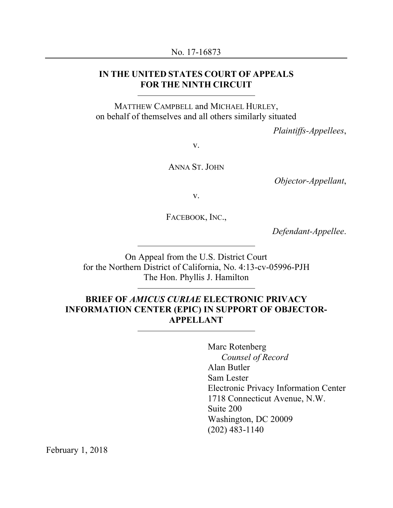## **IN THE UNITED STATES COURT OF APPEALS FOR THE NINTH CIRCUIT**

MATTHEW CAMPBELL and MICHAEL HURLEY, on behalf of themselves and all others similarly situated

*Plaintiffs-Appellees*,

v.

ANNA ST. JOHN

*Objector-Appellant*,

v.

FACEBOOK, INC.,

*Defendant-Appellee*.

On Appeal from the U.S. District Court for the Northern District of California, No. 4:13-cv-05996-PJH The Hon. Phyllis J. Hamilton

## **BRIEF OF** *AMICUS CURIAE* **ELECTRONIC PRIVACY INFORMATION CENTER (EPIC) IN SUPPORT OF OBJECTOR-APPELLANT**

Marc Rotenberg *Counsel of Record* Alan Butler Sam Lester Electronic Privacy Information Center 1718 Connecticut Avenue, N.W. Suite 200 Washington, DC 20009 (202) 483-1140

February 1, 2018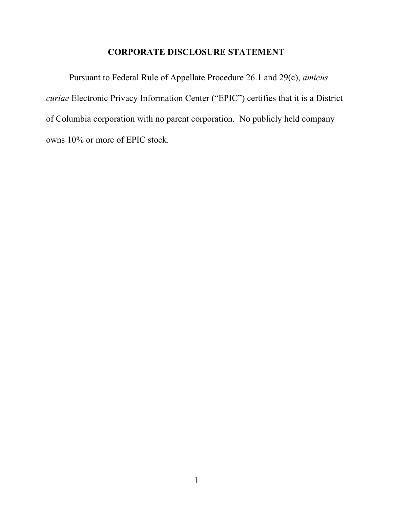## **CORPORATE DISCLOSURE STATEMENT**

Pursuant to Federal Rule of Appellate Procedure 26.1 and 29(c), *amicus curiae* Electronic Privacy Information Center ("EPIC") certifies that it is a District of Columbia corporation with no parent corporation. No publicly held company owns 10% or more of EPIC stock.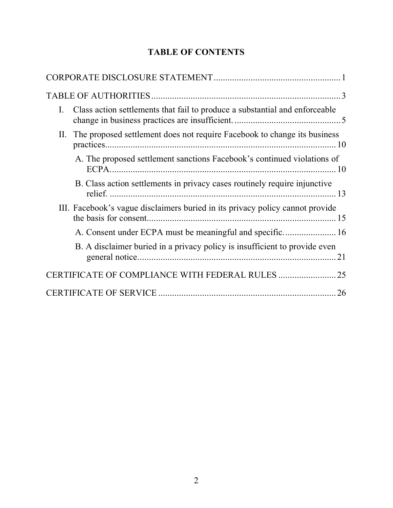# **TABLE OF CONTENTS**

| Class action settlements that fail to produce a substantial and enforceable<br>$\mathbf{I}$ . |
|-----------------------------------------------------------------------------------------------|
| II. The proposed settlement does not require Facebook to change its business                  |
| A. The proposed settlement sanctions Facebook's continued violations of                       |
| B. Class action settlements in privacy cases routinely require injunctive                     |
| III. Facebook's vague disclaimers buried in its privacy policy cannot provide                 |
|                                                                                               |
| B. A disclaimer buried in a privacy policy is insufficient to provide even                    |
|                                                                                               |
| 26                                                                                            |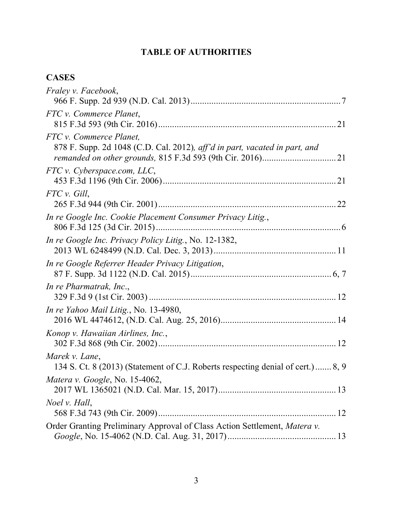## **TABLE OF AUTHORITIES**

## **CASES**

| <i>Fraley v. Facebook,</i>                                                                            |  |
|-------------------------------------------------------------------------------------------------------|--|
| FTC v. Commerce Planet,                                                                               |  |
| FTC v. Commerce Planet,<br>878 F. Supp. 2d 1048 (C.D. Cal. 2012), aff'd in part, vacated in part, and |  |
| FTC v. Cyberspace.com, LLC,                                                                           |  |
| FTC v. Gill,                                                                                          |  |
| In re Google Inc. Cookie Placement Consumer Privacy Litig.,                                           |  |
| <i>In re Google Inc. Privacy Policy Litig., No. 12-1382,</i>                                          |  |
| In re Google Referrer Header Privacy Litigation,                                                      |  |
| In re Pharmatrak, Inc.,                                                                               |  |
| In re Yahoo Mail Litig., No. 13-4980,                                                                 |  |
| Konop v. Hawaiian Airlines, Inc.,                                                                     |  |
| Marek v. Lane,<br>134 S. Ct. 8 (2013) (Statement of C.J. Roberts respecting denial of cert.) 8, 9     |  |
| Matera v. Google, No. 15-4062,                                                                        |  |
| Noel v. Hall,                                                                                         |  |
| Order Granting Preliminary Approval of Class Action Settlement, Matera v.                             |  |
|                                                                                                       |  |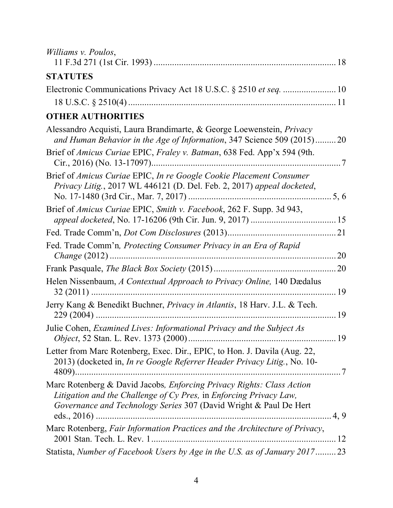| Williams v. Poulos,                                                                                                                                                                                                     |      |
|-------------------------------------------------------------------------------------------------------------------------------------------------------------------------------------------------------------------------|------|
| <b>STATUTES</b>                                                                                                                                                                                                         |      |
|                                                                                                                                                                                                                         |      |
|                                                                                                                                                                                                                         |      |
|                                                                                                                                                                                                                         |      |
| <b>OTHER AUTHORITIES</b>                                                                                                                                                                                                |      |
| Alessandro Acquisti, Laura Brandimarte, & George Loewenstein, <i>Privacy</i><br>and Human Behavior in the Age of Information, 347 Science 509 (2015)20                                                                  |      |
| Brief of <i>Amicus Curiae EPIC, Fraley v. Batman</i> , 638 Fed. App'x 594 (9th.                                                                                                                                         |      |
| Brief of Amicus Curiae EPIC, In re Google Cookie Placement Consumer<br>Privacy Litig., 2017 WL 446121 (D. Del. Feb. 2, 2017) appeal docketed,                                                                           |      |
| Brief of Amicus Curiae EPIC, Smith v. Facebook, 262 F. Supp. 3d 943,                                                                                                                                                    |      |
|                                                                                                                                                                                                                         |      |
| Fed. Trade Comm'n, Protecting Consumer Privacy in an Era of Rapid                                                                                                                                                       |      |
|                                                                                                                                                                                                                         |      |
| Helen Nissenbaum, A Contextual Approach to Privacy Online, 140 Dædalus                                                                                                                                                  |      |
| Jerry Kang & Benedikt Buchner, Privacy in Atlantis, 18 Harv. J.L. & Tech.                                                                                                                                               |      |
| Julie Cohen, <i>Examined Lives: Informational Privacy and the Subject As</i>                                                                                                                                            |      |
| Letter from Marc Rotenberg, Exec. Dir., EPIC, to Hon. J. Davila (Aug. 22,<br>2013) (docketed in, In re Google Referrer Header Privacy Litig., No. 10-                                                                   |      |
| Marc Rotenberg & David Jacobs, <i>Enforcing Privacy Rights: Class Action</i><br>Litigation and the Challenge of Cy Pres, in Enforcing Privacy Law,<br>Governance and Technology Series 307 (David Wright & Paul De Hert | 4, 9 |
| Marc Rotenberg, Fair Information Practices and the Architecture of Privacy,                                                                                                                                             |      |
| Statista, Number of Facebook Users by Age in the U.S. as of January 201723                                                                                                                                              |      |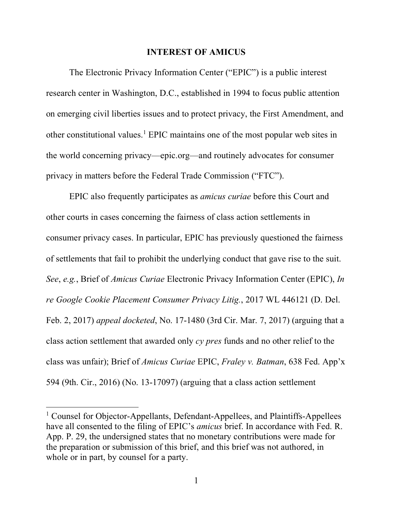#### **INTEREST OF AMICUS**

The Electronic Privacy Information Center ("EPIC") is a public interest research center in Washington, D.C., established in 1994 to focus public attention on emerging civil liberties issues and to protect privacy, the First Amendment, and other constitutional values.1 EPIC maintains one of the most popular web sites in the world concerning privacy—epic.org—and routinely advocates for consumer privacy in matters before the Federal Trade Commission ("FTC").

EPIC also frequently participates as *amicus curiae* before this Court and other courts in cases concerning the fairness of class action settlements in consumer privacy cases. In particular, EPIC has previously questioned the fairness of settlements that fail to prohibit the underlying conduct that gave rise to the suit. *See*, *e.g.*, Brief of *Amicus Curiae* Electronic Privacy Information Center (EPIC), *In re Google Cookie Placement Consumer Privacy Litig.*, 2017 WL 446121 (D. Del. Feb. 2, 2017) *appeal docketed*, No. 17-1480 (3rd Cir. Mar. 7, 2017) (arguing that a class action settlement that awarded only *cy pres* funds and no other relief to the class was unfair); Brief of *Amicus Curiae* EPIC, *Fraley v. Batman*, 638 Fed. App'x 594 (9th. Cir., 2016) (No. 13-17097) (arguing that a class action settlement

<sup>&</sup>lt;sup>1</sup> Counsel for Objector-Appellants, Defendant-Appellees, and Plaintiffs-Appellees have all consented to the filing of EPIC's *amicus* brief. In accordance with Fed. R. App. P. 29, the undersigned states that no monetary contributions were made for the preparation or submission of this brief, and this brief was not authored, in whole or in part, by counsel for a party.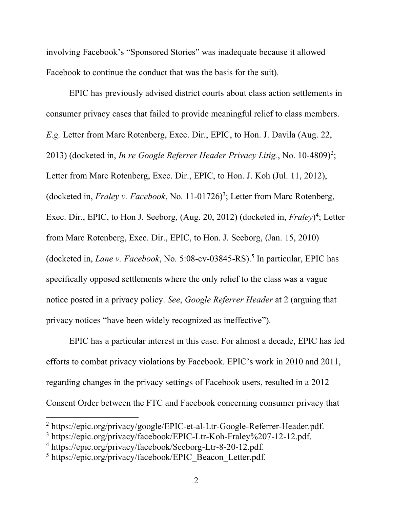involving Facebook's "Sponsored Stories" was inadequate because it allowed Facebook to continue the conduct that was the basis for the suit).

EPIC has previously advised district courts about class action settlements in consumer privacy cases that failed to provide meaningful relief to class members. *E.g.* Letter from Marc Rotenberg, Exec. Dir., EPIC, to Hon. J. Davila (Aug. 22, 2013) (docketed in, *In re Google Referrer Header Privacy Litig.*, No. 10-4809)<sup>2</sup>; Letter from Marc Rotenberg, Exec. Dir., EPIC, to Hon. J. Koh (Jul. 11, 2012), (docketed in, *Fraley v. Facebook*, No. 11-01726)<sup>3</sup>; Letter from Marc Rotenberg, Exec. Dir., EPIC, to Hon J. Seeborg, (Aug. 20, 2012) (docketed in, *Fraley*)<sup>4</sup>; Letter from Marc Rotenberg, Exec. Dir., EPIC, to Hon. J. Seeborg, (Jan. 15, 2010) (docketed in, *Lane v. Facebook*, No. 5:08-cv-03845-RS).5 In particular, EPIC has specifically opposed settlements where the only relief to the class was a vague notice posted in a privacy policy. *See*, *Google Referrer Header* at 2 (arguing that privacy notices "have been widely recognized as ineffective").

EPIC has a particular interest in this case. For almost a decade, EPIC has led efforts to combat privacy violations by Facebook. EPIC's work in 2010 and 2011, regarding changes in the privacy settings of Facebook users, resulted in a 2012 Consent Order between the FTC and Facebook concerning consumer privacy that

<sup>2</sup> https://epic.org/privacy/google/EPIC-et-al-Ltr-Google-Referrer-Header.pdf.

<sup>3</sup> https://epic.org/privacy/facebook/EPIC-Ltr-Koh-Fraley%207-12-12.pdf.

<sup>4</sup> https://epic.org/privacy/facebook/Seeborg-Ltr-8-20-12.pdf.

<sup>&</sup>lt;sup>5</sup> https://epic.org/privacy/facebook/EPIC\_Beacon\_Letter.pdf.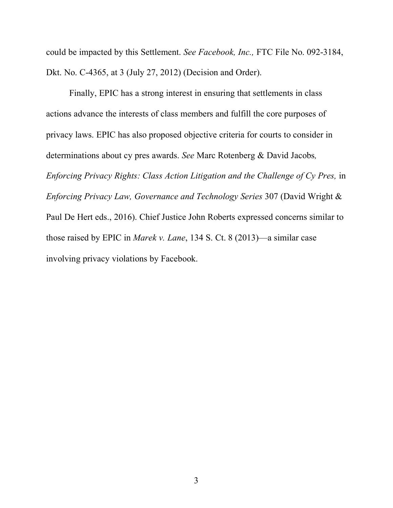could be impacted by this Settlement. *See Facebook, Inc.,* FTC File No. 092-3184, Dkt. No. C-4365, at 3 (July 27, 2012) (Decision and Order).

Finally, EPIC has a strong interest in ensuring that settlements in class actions advance the interests of class members and fulfill the core purposes of privacy laws. EPIC has also proposed objective criteria for courts to consider in determinations about cy pres awards. *See* Marc Rotenberg & David Jacobs*, Enforcing Privacy Rights: Class Action Litigation and the Challenge of Cy Pres,* in *Enforcing Privacy Law, Governance and Technology Series* 307 (David Wright & Paul De Hert eds., 2016). Chief Justice John Roberts expressed concerns similar to those raised by EPIC in *Marek v. Lane*, 134 S. Ct. 8 (2013)—a similar case involving privacy violations by Facebook.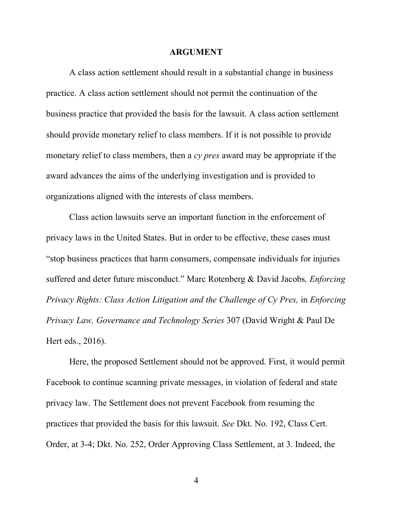#### **ARGUMENT**

A class action settlement should result in a substantial change in business practice. A class action settlement should not permit the continuation of the business practice that provided the basis for the lawsuit. A class action settlement should provide monetary relief to class members. If it is not possible to provide monetary relief to class members, then a *cy pres* award may be appropriate if the award advances the aims of the underlying investigation and is provided to organizations aligned with the interests of class members.

Class action lawsuits serve an important function in the enforcement of privacy laws in the United States. But in order to be effective, these cases must "stop business practices that harm consumers, compensate individuals for injuries suffered and deter future misconduct." Marc Rotenberg & David Jacobs*, Enforcing Privacy Rights: Class Action Litigation and the Challenge of Cy Pres, in Enforcing Privacy Law, Governance and Technology Series* 307 (David Wright & Paul De Hert eds., 2016).

Here, the proposed Settlement should not be approved. First, it would permit Facebook to continue scanning private messages, in violation of federal and state privacy law. The Settlement does not prevent Facebook from resuming the practices that provided the basis for this lawsuit. *See* Dkt. No. 192, Class Cert. Order, at 3-4; Dkt. No. 252, Order Approving Class Settlement, at 3. Indeed, the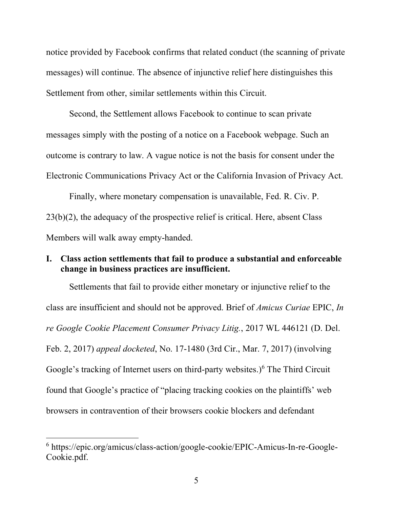notice provided by Facebook confirms that related conduct (the scanning of private messages) will continue. The absence of injunctive relief here distinguishes this Settlement from other, similar settlements within this Circuit.

Second, the Settlement allows Facebook to continue to scan private messages simply with the posting of a notice on a Facebook webpage. Such an outcome is contrary to law. A vague notice is not the basis for consent under the Electronic Communications Privacy Act or the California Invasion of Privacy Act.

Finally, where monetary compensation is unavailable, Fed. R. Civ. P. 23(b)(2), the adequacy of the prospective relief is critical. Here, absent Class Members will walk away empty-handed.

## **I. Class action settlements that fail to produce a substantial and enforceable change in business practices are insufficient.**

Settlements that fail to provide either monetary or injunctive relief to the class are insufficient and should not be approved. Brief of *Amicus Curiae* EPIC, *In re Google Cookie Placement Consumer Privacy Litig.*, 2017 WL 446121 (D. Del. Feb. 2, 2017) *appeal docketed*, No. 17-1480 (3rd Cir., Mar. 7, 2017) (involving Google's tracking of Internet users on third-party websites.)<sup>6</sup> The Third Circuit found that Google's practice of "placing tracking cookies on the plaintiffs' web browsers in contravention of their browsers cookie blockers and defendant

<sup>6</sup> https://epic.org/amicus/class-action/google-cookie/EPIC-Amicus-In-re-Google-Cookie.pdf.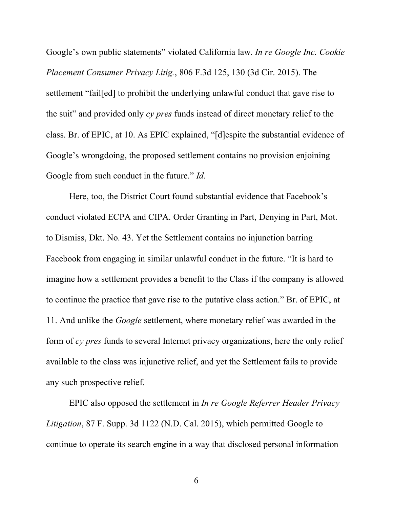Google's own public statements" violated California law. *In re Google Inc. Cookie Placement Consumer Privacy Litig.*, 806 F.3d 125, 130 (3d Cir. 2015). The settlement "fail[ed] to prohibit the underlying unlawful conduct that gave rise to the suit" and provided only *cy pres* funds instead of direct monetary relief to the class. Br. of EPIC, at 10. As EPIC explained, "[d]espite the substantial evidence of Google's wrongdoing, the proposed settlement contains no provision enjoining Google from such conduct in the future." *Id*.

Here, too, the District Court found substantial evidence that Facebook's conduct violated ECPA and CIPA. Order Granting in Part, Denying in Part, Mot. to Dismiss, Dkt. No. 43. Yet the Settlement contains no injunction barring Facebook from engaging in similar unlawful conduct in the future. "It is hard to imagine how a settlement provides a benefit to the Class if the company is allowed to continue the practice that gave rise to the putative class action." Br. of EPIC, at 11. And unlike the *Google* settlement, where monetary relief was awarded in the form of *cy pres* funds to several Internet privacy organizations, here the only relief available to the class was injunctive relief, and yet the Settlement fails to provide any such prospective relief.

EPIC also opposed the settlement in *In re Google Referrer Header Privacy Litigation*, 87 F. Supp. 3d 1122 (N.D. Cal. 2015), which permitted Google to continue to operate its search engine in a way that disclosed personal information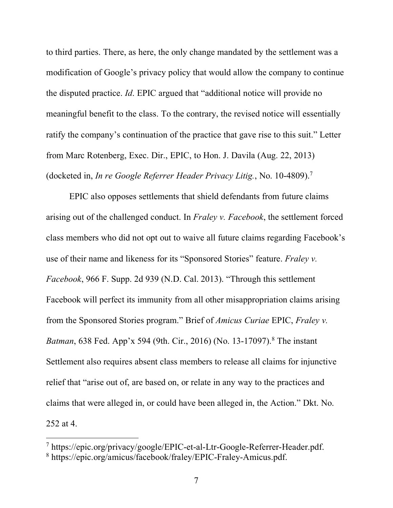to third parties. There, as here, the only change mandated by the settlement was a modification of Google's privacy policy that would allow the company to continue the disputed practice. *Id*. EPIC argued that "additional notice will provide no meaningful benefit to the class. To the contrary, the revised notice will essentially ratify the company's continuation of the practice that gave rise to this suit." Letter from Marc Rotenberg, Exec. Dir., EPIC, to Hon. J. Davila (Aug. 22, 2013) (docketed in, *In re Google Referrer Header Privacy Litig.*, No. 10-4809). 7

EPIC also opposes settlements that shield defendants from future claims arising out of the challenged conduct. In *Fraley v. Facebook*, the settlement forced class members who did not opt out to waive all future claims regarding Facebook's use of their name and likeness for its "Sponsored Stories" feature. *Fraley v. Facebook*, 966 F. Supp. 2d 939 (N.D. Cal. 2013). "Through this settlement Facebook will perfect its immunity from all other misappropriation claims arising from the Sponsored Stories program." Brief of *Amicus Curiae* EPIC, *Fraley v. Batman*, 638 Fed. App'x 594 (9th. Cir., 2016) (No. 13-17097). <sup>8</sup> The instant Settlement also requires absent class members to release all claims for injunctive relief that "arise out of, are based on, or relate in any way to the practices and claims that were alleged in, or could have been alleged in, the Action." Dkt. No. 252 at 4.

<sup>7</sup> https://epic.org/privacy/google/EPIC-et-al-Ltr-Google-Referrer-Header.pdf. <sup>8</sup> https://epic.org/amicus/facebook/fraley/EPIC-Fraley-Amicus.pdf.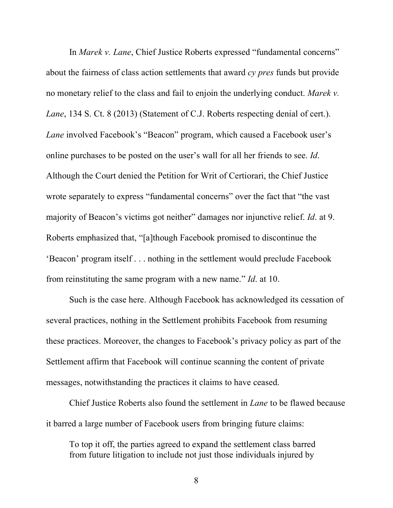In *Marek v. Lane*, Chief Justice Roberts expressed "fundamental concerns" about the fairness of class action settlements that award *cy pres* funds but provide no monetary relief to the class and fail to enjoin the underlying conduct. *Marek v. Lane*, 134 S. Ct. 8 (2013) (Statement of C.J. Roberts respecting denial of cert.). *Lane* involved Facebook's "Beacon" program, which caused a Facebook user's online purchases to be posted on the user's wall for all her friends to see. *Id*. Although the Court denied the Petition for Writ of Certiorari, the Chief Justice wrote separately to express "fundamental concerns" over the fact that "the vast majority of Beacon's victims got neither" damages nor injunctive relief. *Id*. at 9. Roberts emphasized that, "[a]though Facebook promised to discontinue the 'Beacon' program itself . . . nothing in the settlement would preclude Facebook from reinstituting the same program with a new name." *Id*. at 10.

Such is the case here. Although Facebook has acknowledged its cessation of several practices, nothing in the Settlement prohibits Facebook from resuming these practices. Moreover, the changes to Facebook's privacy policy as part of the Settlement affirm that Facebook will continue scanning the content of private messages, notwithstanding the practices it claims to have ceased.

Chief Justice Roberts also found the settlement in *Lane* to be flawed because it barred a large number of Facebook users from bringing future claims:

To top it off, the parties agreed to expand the settlement class barred from future litigation to include not just those individuals injured by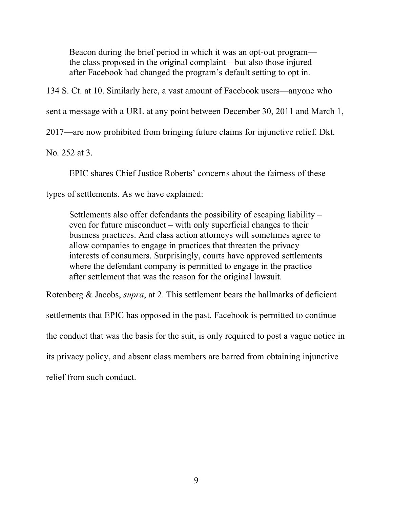Beacon during the brief period in which it was an opt-out program the class proposed in the original complaint—but also those injured after Facebook had changed the program's default setting to opt in.

134 S. Ct. at 10. Similarly here, a vast amount of Facebook users—anyone who

sent a message with a URL at any point between December 30, 2011 and March 1,

2017—are now prohibited from bringing future claims for injunctive relief. Dkt.

No. 252 at 3.

EPIC shares Chief Justice Roberts' concerns about the fairness of these

types of settlements. As we have explained:

Settlements also offer defendants the possibility of escaping liability – even for future misconduct – with only superficial changes to their business practices. And class action attorneys will sometimes agree to allow companies to engage in practices that threaten the privacy interests of consumers. Surprisingly, courts have approved settlements where the defendant company is permitted to engage in the practice after settlement that was the reason for the original lawsuit.

Rotenberg & Jacobs, *supra*, at 2. This settlement bears the hallmarks of deficient settlements that EPIC has opposed in the past. Facebook is permitted to continue the conduct that was the basis for the suit, is only required to post a vague notice in its privacy policy, and absent class members are barred from obtaining injunctive relief from such conduct.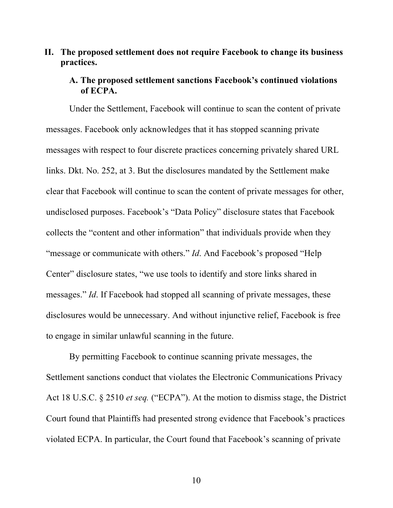## **II. The proposed settlement does not require Facebook to change its business practices.**

### **A. The proposed settlement sanctions Facebook's continued violations of ECPA.**

Under the Settlement, Facebook will continue to scan the content of private messages. Facebook only acknowledges that it has stopped scanning private messages with respect to four discrete practices concerning privately shared URL links. Dkt. No. 252, at 3. But the disclosures mandated by the Settlement make clear that Facebook will continue to scan the content of private messages for other, undisclosed purposes. Facebook's "Data Policy" disclosure states that Facebook collects the "content and other information" that individuals provide when they "message or communicate with others." *Id*. And Facebook's proposed "Help Center" disclosure states, "we use tools to identify and store links shared in messages." *Id*. If Facebook had stopped all scanning of private messages, these disclosures would be unnecessary. And without injunctive relief, Facebook is free to engage in similar unlawful scanning in the future.

By permitting Facebook to continue scanning private messages, the Settlement sanctions conduct that violates the Electronic Communications Privacy Act 18 U.S.C. § 2510 *et seq.* ("ECPA"). At the motion to dismiss stage, the District Court found that Plaintiffs had presented strong evidence that Facebook's practices violated ECPA. In particular, the Court found that Facebook's scanning of private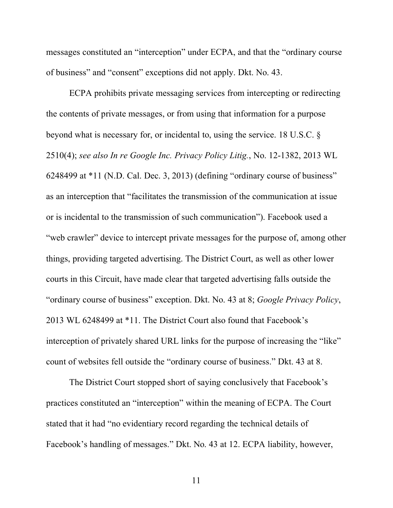messages constituted an "interception" under ECPA, and that the "ordinary course of business" and "consent" exceptions did not apply. Dkt. No. 43.

ECPA prohibits private messaging services from intercepting or redirecting the contents of private messages, or from using that information for a purpose beyond what is necessary for, or incidental to, using the service. 18 U.S.C. § 2510(4); *see also In re Google Inc. Privacy Policy Litig.*, No. 12-1382, 2013 WL 6248499 at \*11 (N.D. Cal. Dec. 3, 2013) (defining "ordinary course of business" as an interception that "facilitates the transmission of the communication at issue or is incidental to the transmission of such communication"). Facebook used a "web crawler" device to intercept private messages for the purpose of, among other things, providing targeted advertising. The District Court, as well as other lower courts in this Circuit, have made clear that targeted advertising falls outside the "ordinary course of business" exception. Dkt. No. 43 at 8; *Google Privacy Policy*, 2013 WL 6248499 at \*11. The District Court also found that Facebook's interception of privately shared URL links for the purpose of increasing the "like" count of websites fell outside the "ordinary course of business." Dkt. 43 at 8.

The District Court stopped short of saying conclusively that Facebook's practices constituted an "interception" within the meaning of ECPA. The Court stated that it had "no evidentiary record regarding the technical details of Facebook's handling of messages." Dkt. No. 43 at 12. ECPA liability, however,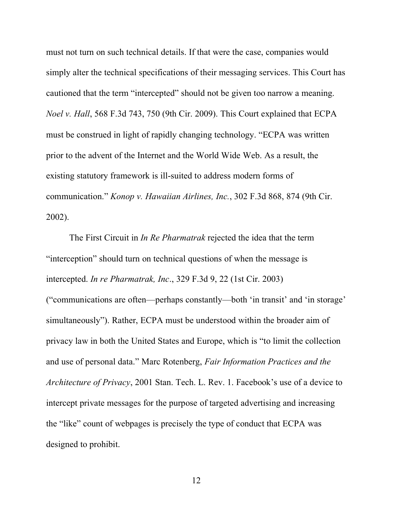must not turn on such technical details. If that were the case, companies would simply alter the technical specifications of their messaging services. This Court has cautioned that the term "intercepted" should not be given too narrow a meaning. *Noel v. Hall*, 568 F.3d 743, 750 (9th Cir. 2009). This Court explained that ECPA must be construed in light of rapidly changing technology. "ECPA was written prior to the advent of the Internet and the World Wide Web. As a result, the existing statutory framework is ill-suited to address modern forms of communication." *Konop v. Hawaiian Airlines, Inc.*, 302 F.3d 868, 874 (9th Cir. 2002).

The First Circuit in *In Re Pharmatrak* rejected the idea that the term "interception" should turn on technical questions of when the message is intercepted. *In re Pharmatrak, Inc*., 329 F.3d 9, 22 (1st Cir. 2003) ("communications are often—perhaps constantly—both 'in transit' and 'in storage' simultaneously"). Rather, ECPA must be understood within the broader aim of privacy law in both the United States and Europe, which is "to limit the collection and use of personal data." Marc Rotenberg, *Fair Information Practices and the Architecture of Privacy*, 2001 Stan. Tech. L. Rev. 1. Facebook's use of a device to intercept private messages for the purpose of targeted advertising and increasing the "like" count of webpages is precisely the type of conduct that ECPA was designed to prohibit.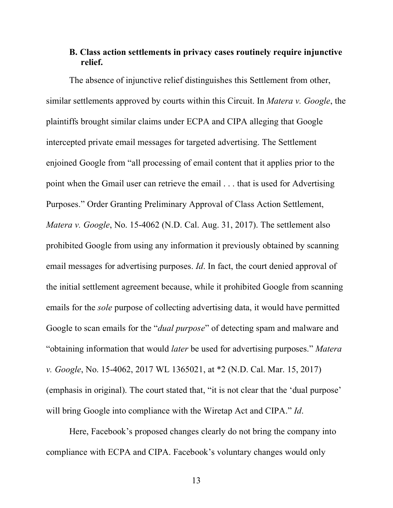## **B. Class action settlements in privacy cases routinely require injunctive relief.**

The absence of injunctive relief distinguishes this Settlement from other, similar settlements approved by courts within this Circuit. In *Matera v. Google*, the plaintiffs brought similar claims under ECPA and CIPA alleging that Google intercepted private email messages for targeted advertising. The Settlement enjoined Google from "all processing of email content that it applies prior to the point when the Gmail user can retrieve the email . . . that is used for Advertising Purposes." Order Granting Preliminary Approval of Class Action Settlement, *Matera v. Google*, No. 15-4062 (N.D. Cal. Aug. 31, 2017). The settlement also prohibited Google from using any information it previously obtained by scanning email messages for advertising purposes. *Id*. In fact, the court denied approval of the initial settlement agreement because, while it prohibited Google from scanning emails for the *sole* purpose of collecting advertising data, it would have permitted Google to scan emails for the "*dual purpose*" of detecting spam and malware and "obtaining information that would *later* be used for advertising purposes." *Matera v. Google*, No. 15-4062, 2017 WL 1365021, at \*2 (N.D. Cal. Mar. 15, 2017) (emphasis in original). The court stated that, "it is not clear that the 'dual purpose' will bring Google into compliance with the Wiretap Act and CIPA." *Id*.

Here, Facebook's proposed changes clearly do not bring the company into compliance with ECPA and CIPA. Facebook's voluntary changes would only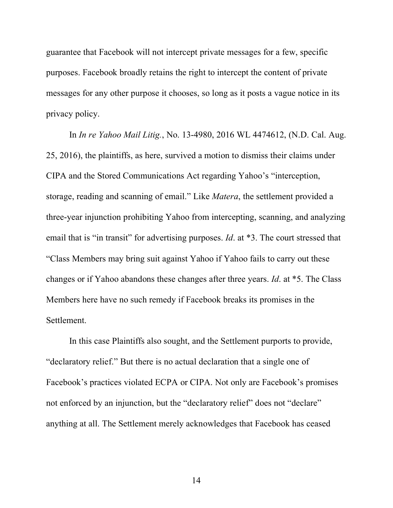guarantee that Facebook will not intercept private messages for a few, specific purposes. Facebook broadly retains the right to intercept the content of private messages for any other purpose it chooses, so long as it posts a vague notice in its privacy policy.

In *In re Yahoo Mail Litig.*, No. 13-4980, 2016 WL 4474612, (N.D. Cal. Aug. 25, 2016), the plaintiffs, as here, survived a motion to dismiss their claims under CIPA and the Stored Communications Act regarding Yahoo's "interception, storage, reading and scanning of email." Like *Matera*, the settlement provided a three-year injunction prohibiting Yahoo from intercepting, scanning, and analyzing email that is "in transit" for advertising purposes. *Id.* at \*3. The court stressed that "Class Members may bring suit against Yahoo if Yahoo fails to carry out these changes or if Yahoo abandons these changes after three years. *Id*. at \*5. The Class Members here have no such remedy if Facebook breaks its promises in the Settlement.

In this case Plaintiffs also sought, and the Settlement purports to provide, "declaratory relief." But there is no actual declaration that a single one of Facebook's practices violated ECPA or CIPA. Not only are Facebook's promises not enforced by an injunction, but the "declaratory relief" does not "declare" anything at all. The Settlement merely acknowledges that Facebook has ceased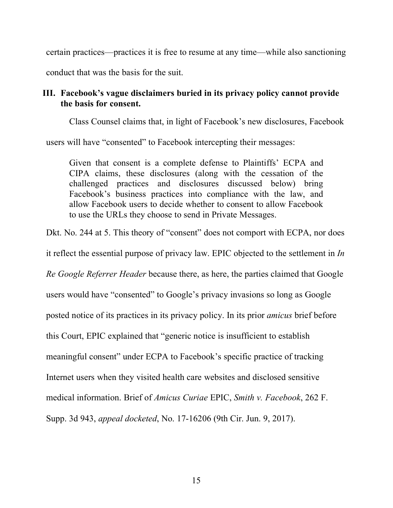certain practices—practices it is free to resume at any time—while also sanctioning conduct that was the basis for the suit.

## **III. Facebook's vague disclaimers buried in its privacy policy cannot provide the basis for consent.**

Class Counsel claims that, in light of Facebook's new disclosures, Facebook

users will have "consented" to Facebook intercepting their messages:

Given that consent is a complete defense to Plaintiffs' ECPA and CIPA claims, these disclosures (along with the cessation of the challenged practices and disclosures discussed below) bring Facebook's business practices into compliance with the law, and allow Facebook users to decide whether to consent to allow Facebook to use the URLs they choose to send in Private Messages.

Dkt. No. 244 at 5. This theory of "consent" does not comport with ECPA, nor does

it reflect the essential purpose of privacy law. EPIC objected to the settlement in *In* 

*Re Google Referrer Header* because there, as here, the parties claimed that Google

users would have "consented" to Google's privacy invasions so long as Google

posted notice of its practices in its privacy policy. In its prior *amicus* brief before

this Court, EPIC explained that "generic notice is insufficient to establish

meaningful consent" under ECPA to Facebook's specific practice of tracking

Internet users when they visited health care websites and disclosed sensitive

medical information. Brief of *Amicus Curiae* EPIC, *Smith v. Facebook*, 262 F.

Supp. 3d 943, *appeal docketed*, No. 17-16206 (9th Cir. Jun. 9, 2017).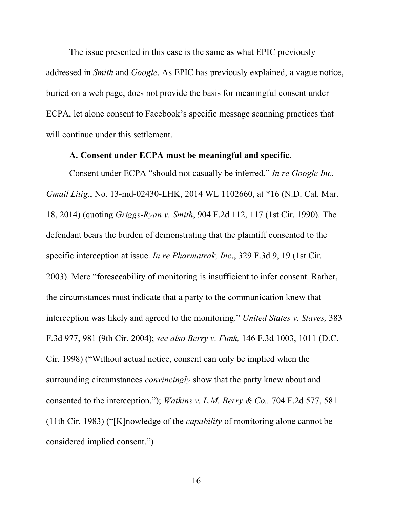The issue presented in this case is the same as what EPIC previously addressed in *Smith* and *Google*. As EPIC has previously explained, a vague notice, buried on a web page, does not provide the basis for meaningful consent under ECPA, let alone consent to Facebook's specific message scanning practices that will continue under this settlement.

#### **A. Consent under ECPA must be meaningful and specific.**

Consent under ECPA "should not casually be inferred." *In re Google Inc. Gmail Litig*., No. 13-md-02430-LHK, 2014 WL 1102660, at \*16 (N.D. Cal. Mar. 18, 2014) (quoting *Griggs-Ryan v. Smith*, 904 F.2d 112, 117 (1st Cir. 1990). The defendant bears the burden of demonstrating that the plaintiff consented to the specific interception at issue. *In re Pharmatrak, Inc*., 329 F.3d 9, 19 (1st Cir. 2003). Mere "foreseeability of monitoring is insufficient to infer consent. Rather, the circumstances must indicate that a party to the communication knew that interception was likely and agreed to the monitoring." *United States v. Staves,* 383 F.3d 977, 981 (9th Cir. 2004); *see also Berry v. Funk,* 146 F.3d 1003, 1011 (D.C. Cir. 1998) ("Without actual notice, consent can only be implied when the surrounding circumstances *convincingly* show that the party knew about and consented to the interception."); *Watkins v. L.M. Berry & Co.,* 704 F.2d 577, 581 (11th Cir. 1983) ("[K]nowledge of the *capability* of monitoring alone cannot be considered implied consent.")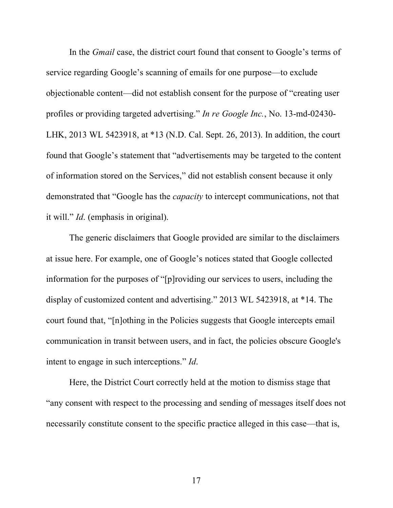In the *Gmail* case, the district court found that consent to Google's terms of service regarding Google's scanning of emails for one purpose—to exclude objectionable content—did not establish consent for the purpose of "creating user profiles or providing targeted advertising." *In re Google Inc.*, No. 13-md-02430- LHK, 2013 WL 5423918, at \*13 (N.D. Cal. Sept. 26, 2013). In addition, the court found that Google's statement that "advertisements may be targeted to the content of information stored on the Services," did not establish consent because it only demonstrated that "Google has the *capacity* to intercept communications, not that it will." *Id*. (emphasis in original).

The generic disclaimers that Google provided are similar to the disclaimers at issue here. For example, one of Google's notices stated that Google collected information for the purposes of "[p]roviding our services to users, including the display of customized content and advertising." 2013 WL 5423918, at \*14. The court found that, "[n]othing in the Policies suggests that Google intercepts email communication in transit between users, and in fact, the policies obscure Google's intent to engage in such interceptions." *Id*.

Here, the District Court correctly held at the motion to dismiss stage that "any consent with respect to the processing and sending of messages itself does not necessarily constitute consent to the specific practice alleged in this case—that is,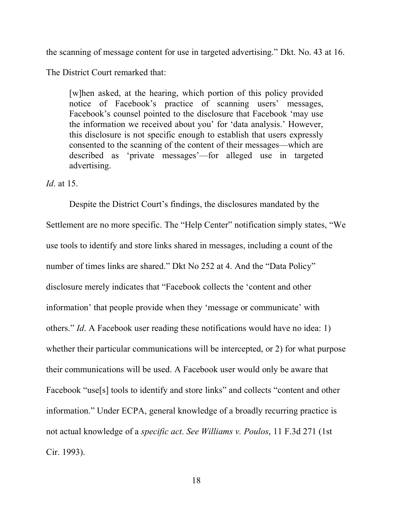the scanning of message content for use in targeted advertising." Dkt. No. 43 at 16.

The District Court remarked that:

[w]hen asked, at the hearing, which portion of this policy provided notice of Facebook's practice of scanning users' messages, Facebook's counsel pointed to the disclosure that Facebook 'may use the information we received about you' for 'data analysis.' However, this disclosure is not specific enough to establish that users expressly consented to the scanning of the content of their messages—which are described as 'private messages'—for alleged use in targeted advertising.

#### *Id*. at 15.

Despite the District Court's findings, the disclosures mandated by the Settlement are no more specific. The "Help Center" notification simply states, "We use tools to identify and store links shared in messages, including a count of the number of times links are shared." Dkt No 252 at 4. And the "Data Policy" disclosure merely indicates that "Facebook collects the 'content and other information' that people provide when they 'message or communicate' with others." *Id*. A Facebook user reading these notifications would have no idea: 1) whether their particular communications will be intercepted, or 2) for what purpose their communications will be used. A Facebook user would only be aware that Facebook "use[s] tools to identify and store links" and collects "content and other information." Under ECPA, general knowledge of a broadly recurring practice is not actual knowledge of a *specific act*. *See Williams v. Poulos*, 11 F.3d 271 (1st Cir. 1993).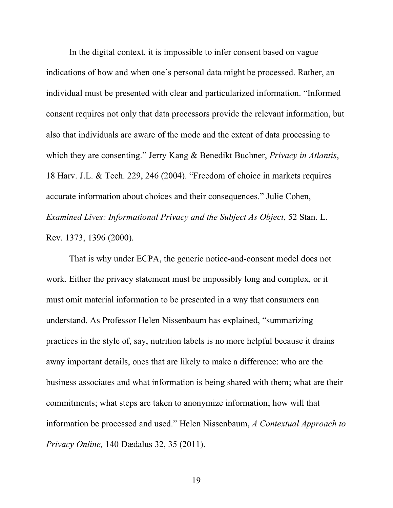In the digital context, it is impossible to infer consent based on vague indications of how and when one's personal data might be processed. Rather, an individual must be presented with clear and particularized information. "Informed consent requires not only that data processors provide the relevant information, but also that individuals are aware of the mode and the extent of data processing to which they are consenting." Jerry Kang & Benedikt Buchner, *Privacy in Atlantis*, 18 Harv. J.L. & Tech. 229, 246 (2004). "Freedom of choice in markets requires accurate information about choices and their consequences." Julie Cohen, *Examined Lives: Informational Privacy and the Subject As Object*, 52 Stan. L. Rev. 1373, 1396 (2000).

That is why under ECPA, the generic notice-and-consent model does not work. Either the privacy statement must be impossibly long and complex, or it must omit material information to be presented in a way that consumers can understand. As Professor Helen Nissenbaum has explained, "summarizing practices in the style of, say, nutrition labels is no more helpful because it drains away important details, ones that are likely to make a difference: who are the business associates and what information is being shared with them; what are their commitments; what steps are taken to anonymize information; how will that information be processed and used." Helen Nissenbaum, *A Contextual Approach to Privacy Online,* 140 Dædalus 32, 35 (2011).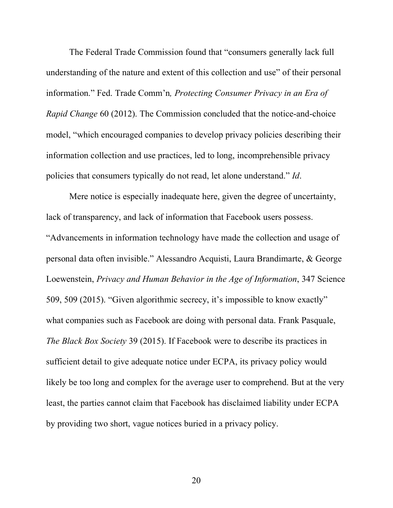The Federal Trade Commission found that "consumers generally lack full understanding of the nature and extent of this collection and use" of their personal information." Fed. Trade Comm'n*, Protecting Consumer Privacy in an Era of Rapid Change* 60 (2012). The Commission concluded that the notice-and-choice model, "which encouraged companies to develop privacy policies describing their information collection and use practices, led to long, incomprehensible privacy policies that consumers typically do not read, let alone understand." *Id*.

Mere notice is especially inadequate here, given the degree of uncertainty, lack of transparency, and lack of information that Facebook users possess. "Advancements in information technology have made the collection and usage of personal data often invisible." Alessandro Acquisti, Laura Brandimarte, & George Loewenstein, *Privacy and Human Behavior in the Age of Information*, 347 Science 509, 509 (2015). "Given algorithmic secrecy, it's impossible to know exactly" what companies such as Facebook are doing with personal data. Frank Pasquale, *The Black Box Society* 39 (2015). If Facebook were to describe its practices in sufficient detail to give adequate notice under ECPA, its privacy policy would likely be too long and complex for the average user to comprehend. But at the very least, the parties cannot claim that Facebook has disclaimed liability under ECPA by providing two short, vague notices buried in a privacy policy.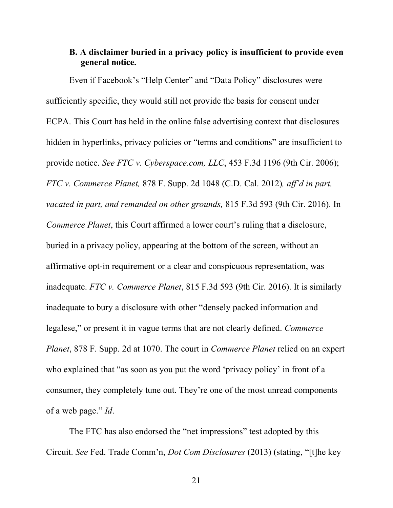## **B. A disclaimer buried in a privacy policy is insufficient to provide even general notice.**

Even if Facebook's "Help Center" and "Data Policy" disclosures were sufficiently specific, they would still not provide the basis for consent under ECPA. This Court has held in the online false advertising context that disclosures hidden in hyperlinks, privacy policies or "terms and conditions" are insufficient to provide notice. *See FTC v. Cyberspace.com, LLC*, 453 F.3d 1196 (9th Cir. 2006); *FTC v. Commerce Planet,* 878 F. Supp. 2d 1048 (C.D. Cal. 2012)*, aff'd in part, vacated in part, and remanded on other grounds,* 815 F.3d 593 (9th Cir. 2016). In *Commerce Planet*, this Court affirmed a lower court's ruling that a disclosure, buried in a privacy policy, appearing at the bottom of the screen, without an affirmative opt-in requirement or a clear and conspicuous representation, was inadequate. *FTC v. Commerce Planet*, 815 F.3d 593 (9th Cir. 2016). It is similarly inadequate to bury a disclosure with other "densely packed information and legalese," or present it in vague terms that are not clearly defined. *Commerce Planet*, 878 F. Supp. 2d at 1070. The court in *Commerce Planet* relied on an expert who explained that "as soon as you put the word 'privacy policy' in front of a consumer, they completely tune out. They're one of the most unread components of a web page." *Id*.

The FTC has also endorsed the "net impressions" test adopted by this Circuit. *See* Fed. Trade Comm'n, *Dot Com Disclosures* (2013) (stating, "[t]he key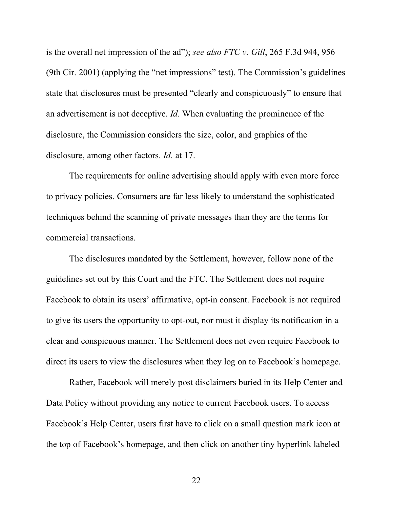is the overall net impression of the ad"); *see also FTC v. Gill*, 265 F.3d 944, 956 (9th Cir. 2001) (applying the "net impressions" test). The Commission's guidelines state that disclosures must be presented "clearly and conspicuously" to ensure that an advertisement is not deceptive. *Id.* When evaluating the prominence of the disclosure, the Commission considers the size, color, and graphics of the disclosure, among other factors. *Id.* at 17.

The requirements for online advertising should apply with even more force to privacy policies. Consumers are far less likely to understand the sophisticated techniques behind the scanning of private messages than they are the terms for commercial transactions.

The disclosures mandated by the Settlement, however, follow none of the guidelines set out by this Court and the FTC. The Settlement does not require Facebook to obtain its users' affirmative, opt-in consent. Facebook is not required to give its users the opportunity to opt-out, nor must it display its notification in a clear and conspicuous manner. The Settlement does not even require Facebook to direct its users to view the disclosures when they log on to Facebook's homepage.

Rather, Facebook will merely post disclaimers buried in its Help Center and Data Policy without providing any notice to current Facebook users. To access Facebook's Help Center, users first have to click on a small question mark icon at the top of Facebook's homepage, and then click on another tiny hyperlink labeled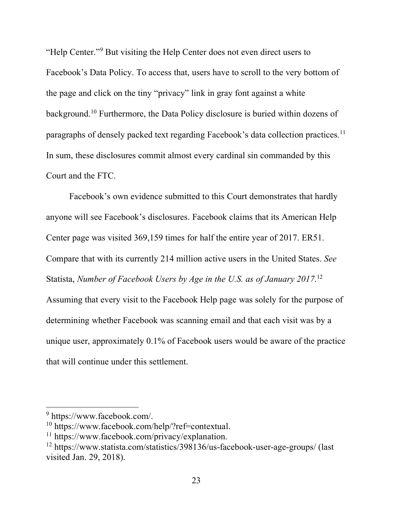"Help Center."9 But visiting the Help Center does not even direct users to Facebook's Data Policy. To access that, users have to scroll to the very bottom of the page and click on the tiny "privacy" link in gray font against a white background.10 Furthermore, the Data Policy disclosure is buried within dozens of paragraphs of densely packed text regarding Facebook's data collection practices*.* 11 In sum, these disclosures commit almost every cardinal sin commanded by this Court and the FTC.

Facebook's own evidence submitted to this Court demonstrates that hardly anyone will see Facebook's disclosures. Facebook claims that its American Help Center page was visited 369,159 times for half the entire year of 2017. ER51. Compare that with its currently 214 million active users in the United States. *See*  Statista, *Number of Facebook Users by Age in the U.S. as of January 2017*. 12 Assuming that every visit to the Facebook Help page was solely for the purpose of determining whether Facebook was scanning email and that each visit was by a unique user, approximately 0.1% of Facebook users would be aware of the practice that will continue under this settlement.

<sup>9</sup> https://www.facebook.com/.

<sup>10</sup> https://www.facebook.com/help/?ref=contextual.

<sup>11</sup> https://www.facebook.com/privacy/explanation.

<sup>12</sup> https://www.statista.com/statistics/398136/us-facebook-user-age-groups/ (last visited Jan. 29, 2018).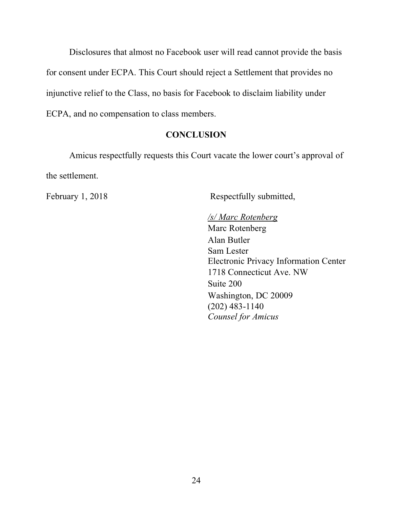Disclosures that almost no Facebook user will read cannot provide the basis for consent under ECPA. This Court should reject a Settlement that provides no injunctive relief to the Class, no basis for Facebook to disclaim liability under ECPA, and no compensation to class members.

## **CONCLUSION**

Amicus respectfully requests this Court vacate the lower court's approval of the settlement.

February 1, 2018 Respectfully submitted,

*/s/ Marc Rotenberg*  Marc Rotenberg Alan Butler Sam Lester Electronic Privacy Information Center 1718 Connecticut Ave. NW Suite 200 Washington, DC 20009 (202) 483-1140 *Counsel for Amicus*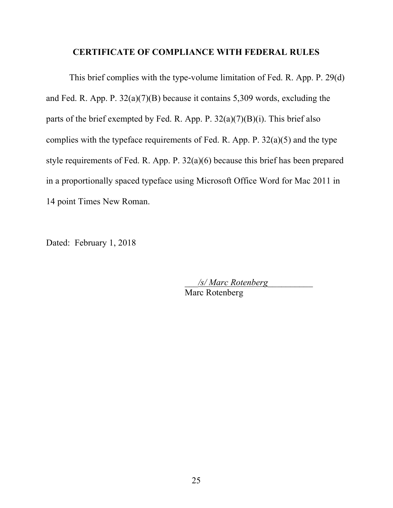#### **CERTIFICATE OF COMPLIANCE WITH FEDERAL RULES**

This brief complies with the type-volume limitation of Fed. R. App. P. 29(d) and Fed. R. App. P. 32(a)(7)(B) because it contains 5,309 words, excluding the parts of the brief exempted by Fed. R. App. P.  $32(a)(7)(B)(i)$ . This brief also complies with the typeface requirements of Fed. R. App. P.  $32(a)(5)$  and the type style requirements of Fed. R. App. P. 32(a)(6) because this brief has been prepared in a proportionally spaced typeface using Microsoft Office Word for Mac 2011 in 14 point Times New Roman.

Dated: February 1, 2018

\_\_\_*/s/ Marc Rotenberg*\_\_\_\_\_\_\_\_\_\_ Marc Rotenberg